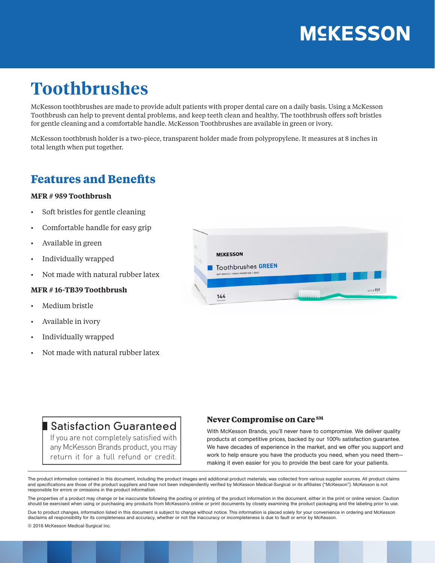# **MSKESSON**

## **Toothbrushes**

McKesson toothbrushes are made to provide adult patients with proper dental care on a daily basis. Using a McKesson Toothbrush can help to prevent dental problems, and keep teeth clean and healthy. The toothbrush offers soft bristles for gentle cleaning and a comfortable handle. McKesson Toothbrushes are available in green or ivory.

McKesson toothbrush holder is a two-piece, transparent holder made from polypropylene. It measures at 8 inches in total length when put together.

## **Features and Benefits**

#### **MFR # 959 Toothbrush**

- Soft bristles for gentle cleaning
- Comfortable handle for easy grip
- Available in green
- Individually wrapped
- Not made with natural rubber latex

#### **MFR # 16-TB39 Toothbrush**

- Medium bristle
- Available in ivory
- Individually wrapped
- Not made with natural rubber latex



### Satisfaction Guaranteed

If you are not completely satisfied with any McKesson Brands product, you may return it for a full refund or credit.

#### **Never Compromise on Care SM**

With McKesson Brands, you'll never have to compromise. We deliver quality products at competitive prices, backed by our 100% satisfaction guarantee. We have decades of experience in the market, and we offer you support and work to help ensure you have the products you need, when you need them making it even easier for you to provide the best care for your patients.

The product information contained in this document, including the product images and additional product materials, was collected from various supplier sources. All product claims and specifications are those of the product suppliers and have not been independently verified by McKesson Medical-Surgical or its affiliates ("McKesson"). McKesson is not responsible for errors or omissions in the product information.

The properties of a product may change or be inaccurate following the posting or printing of the product information in the document, either in the print or online version. Caution should be exercised when using or purchasing any products from McKesson's online or print documents by closely examining the product packaging and the labeling prior to use.

Due to product changes, information listed in this document is subject to change without notice. This information is placed solely for your convenience in ordering and McKesson disclaims all responsibility for its completeness and accuracy, whether or not the inaccuracy or incompleteness is due to fault or error by McKesson.

© 2016 McKesson Medical-Surgical Inc.